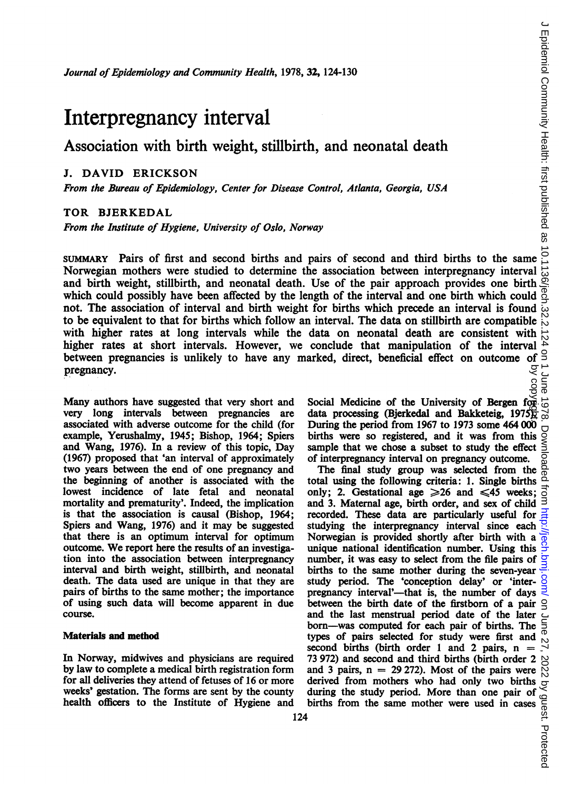# Interpregnancy interval

# Association with birth weight, stillbirth, and neonatal death

# J. DAVID ERICKSON

From the Bureau of Epidemiology, Center for Disease Control, Atlanta, Georgia, USA

#### TOR BJERKEDAL

From the Institute of Hygiene, University of Oslo, Norway

SUMMARY Pairs of first and second births and pairs of second and third births to the same SUMMARY Pairs of first and second births and pairs of second and third births to the same  $\frac{1}{2}$ <br>Norwegian mothers were studied to determine the association between interpregnancy interval  $\frac{1}{\omega}$  and birth weight, and birth weight, stillbirth, and neonatal death. Use of the pair approach provides one birth which could possibly have been affected by the length of the interval and one birth which could which could possibly have been anceled by the respect of the second  $\frac{1}{\omega}$  not. The association of interval and birth weight for births which precede an interval is found  $\frac{1}{\omega}$ to be equivalent to that for births which follow an interval. The data on stillbirth are compatible with higher rates at long intervals while the data on neonatal death are consistent with higher rates at short intervals. However, we conclude that manipulation of the interval between pregnancies is unlikely to have any marked, direct, beneficial effect on outcome of pregnancy.

Many authors have suggested that very short and very long intervals between pregnancies are associated with adverse outcome for the child (for example, Yerushalmy, 1945; Bishop, 1964; Spiers and Wang, 1976). In a review of this topic, Day (1967) proposed that 'an interval of approximately two years between the end of one pregnancy and the beginning of another is associated with the lowest incidence of late fetal and neonatal mortality and prematurity'. Indeed, the implication is that the association is causal (Bishop, 1964; Spiers and Wang, 1976) and it may be suggested that there is an optimum interval for optimum outcome. We report here the results of an investigation into the association between interpregnancy interval and birth weight, stillbirth, and neonatal death. The data used are unique in that they are pairs of births to the same mother; the importance of using such data will become apparent in due course.

#### Materials and method

In Norway, midwives and physicians are required by law to complete a medical birth registration form for all deliveries they attend of fetuses of 16 or more weeks' gestation. The forms are sent by the county health officers to the Institute of Hygiene and

Social Medicine of the University of Bergen for data processing (Bjerkedal and Bakketeig, 1975 $\overline{E}$ During the period from 1967 to 1973 some 464 000 births were so registered, and it was from this sample that we chose a subset to study the effect of interpregnancy interval on pregnancy outcome. by copyright.

The final study group was selected from the total using the following criteria: 1. Single births only; 2. Gestational age  $\geq 26$  and  $\leq 45$  weeks; and 3. Maternal age, birth order, and sex of child recorded. These data are particularly useful for studying the interpregnancy interval since each Norwegian is provided shortly after birth with a unique national identification number. Using this number, it was easy to select from the file pairs of births to the same mother during the seven-year study period. The 'conception delay' or 'interpregnancy interval'—that is, the number of days between the birth date of the firstborn of a pair  $\trianglelefteq$ and the last menstrual period date of the later born-was computed for each pair of births. The types of pairs selected for study were first and second births (birth order 1 and 2 pairs,  $n =$ 73 972) and second and third births (birth order 2 and 3 pairs,  $n = 29272$ . Most of the pairs were derived from mothers who had only two births  $\frac{dS}{dS}$ <br>during the study period. More than one pair of  $\frac{dS}{dS}$ <br>births from the same mother were used in cases  $\frac{dS}{dS}$ <br> $\frac{1}{dS}$ during the study period. More than one pair of births from the same mother were used in cases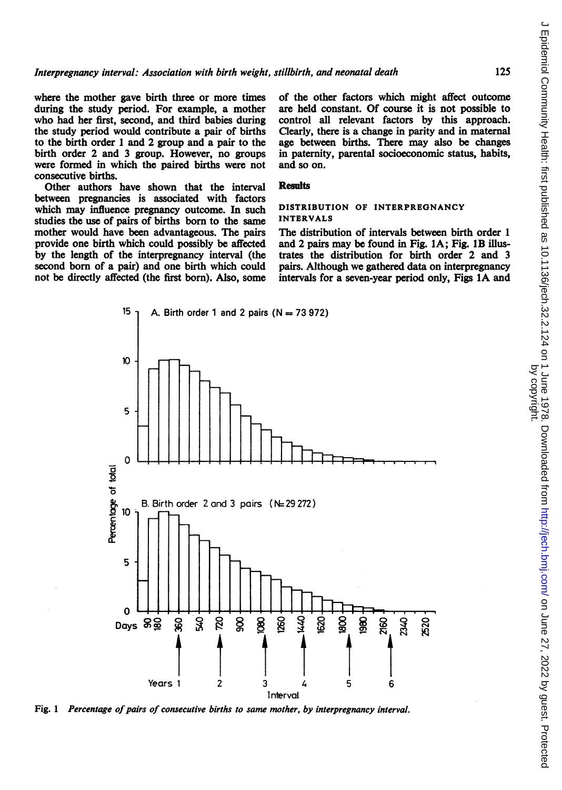where the mother gave birth three or more times during the study period. For example, a mother who had her first, second, and third babies during the study period would contribute a pair of births to the birth order <sup>1</sup> and 2 group and a pair to the birth order 2 and 3 group. However, no groups were formed in which the paired births were not consecutive births.

Other authors have shown that the interval between pregnancies is associated with factors which may influence pregnancy outcome. In such studies the use of pairs of births born to the same mother would have been advantageous. The pairs provide one birth which could possibly be affected by the length of the interpregnancy interval (the second born of a pair) and one birth which could not be directly affected (the first born). Also, some of the other factors which might affect outcome are held constant. Of course it is not possible to control all relevant factors by this approach. Clearly, there is a change in parity and in maternal age between births. There may also be changes in paternity, parental socioeconomic status, habits, and so on.

#### **Results**

#### DISTRIBUTION OF INTERPREONANCY INTERVALS

The distribution of intervals between birth order <sup>1</sup> and 2 pairs may be found in Fig. 1A; Fig. 1B illustrates the distribution for birth order 2 and 3 pairs. Although we gathered data on interpregnancy intervals for a seven-year period only, Figs 1A and



Fig. 1 Percentage of pairs of consecutive births to same mother, by interpregnancy interval.

125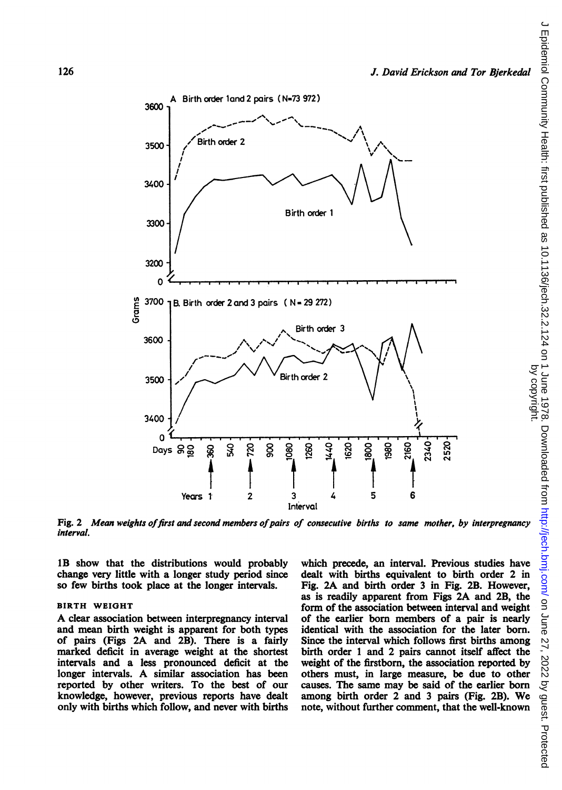

Fig. 2 Mean weights of first and second members of pairs of consecutive births to same mother, by interpregnancy interval.

lB show that the distributions would probably change very little with a longer study period since so few births took place at the longer intervals.

#### BIRTH WEIGHT

A clear association between interpregnancy interval and mean birth weight is apparent for both types of pairs (Figs 2A and 2B). There is a fairly marked deficit in average weight at the shortest intervals and a less pronounced deficit at the longer intervals. A similar association has been reported by other writers. To the best of our knowledge, however, previous reports have dealt only with births which follow, and never with births

which precede, an interval. Previous studies have dealt with births equivalent to birth order 2 in Fig. 2A and birth order <sup>3</sup> in Fig. 2B. However, as is readily apparent from Figs 2A and 2B, the form of the association between interval and weight of the earlier born members of a pair is nearly identical with the association for the later born. Since the interval which follows first births among birth order <sup>1</sup> and 2 pairs cannot itself affect the weight of the firstborn, the association reported by others must, in large measure, be due to other causes. The same may be said of the earlier born among birth order <sup>2</sup> and <sup>3</sup> pairs (Fig. 2B). We note, without further comment, that the well-known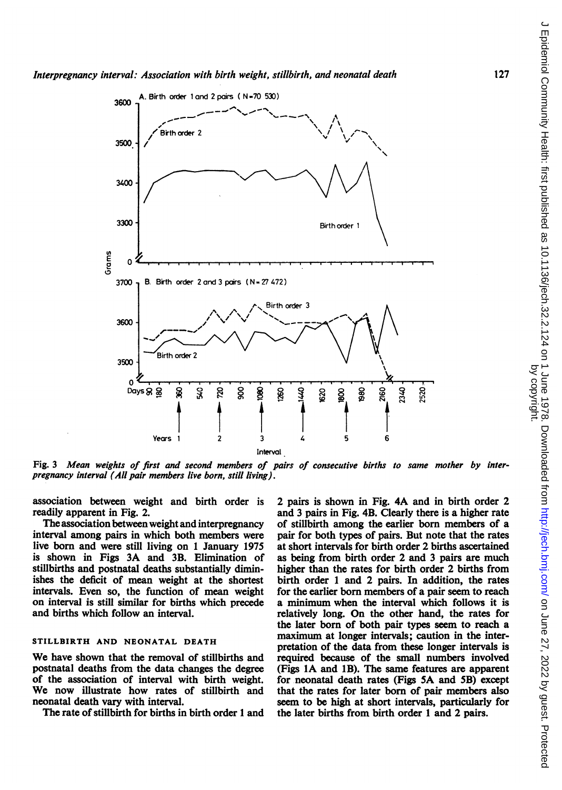

Fig. 3 Mean weights of first and second members of pairs of consecutive births to same mother by interpregnancy interval (All pair members live born, still living).

association between weight and birth order is readily apparent in Fig. 2.

The association between weight and interpregnancy interval among pairs in which both members were live born and were still living on <sup>1</sup> January 1975 is shown in Figs 3A and 3B. Elimination of stillbirths and postnatal deaths substantially diminishes the deficit of mean weight at the shortest intervals. Even so, the function of mean weight on interval is still similar for births which precede and births which follow an interval.

#### STILLBIRTH AND NEONATAL DEATH

We have shown that the removal of stillbirths and postnatal deaths from the data changes the degree of the association of interval with birth weight. We now illustrate how rates of stillbirth and neonatal death vary with interval.

The rate of stillbirth for births in birth order <sup>1</sup> and

2 pairs is shown in Fig. 4A and in birth order 2 and 3 pairs in Fig. 4B. Clearly there is a higher rate of stillbirth among the earlier born members of a pair for both types of pairs. But note that the rates at short intervals for birth order 2 births ascertained as being from birth order 2 and 3 pairs are much higher than the rates for birth order 2 births from birth order <sup>1</sup> and 2 pairs. In addition, the rates for the earlier born members of a pair seem to reach a minimum when the interval which follows it is relatively long. On the other hand, the rates for the later born of both pair types seem to reach a maximum at longer intervals; caution in the interpretation of the data from these longer intervals is required because of the small numbers involved (Figs 1A and 1B). The same features are apparent for neonatal death rates (Figs SA and SB) except that the rates for later born of pair members also seem to be high at short intervals, particularly for the later births from birth order <sup>1</sup> and 2 pairs.

127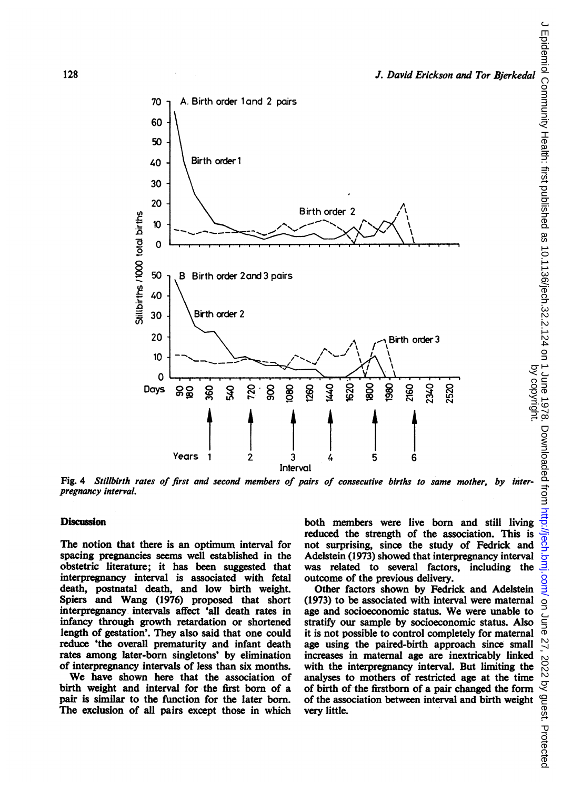

Fig. 4 Stillbirth rates of first and second members of pairs of consecutive births to same mother, by interpregnancy interval.

#### **Discussion**

The notion that there is an optimum interval for spacing pregnancies seems well established in the obstetric literature; it has been suggested that interpregnancy interval is associated with fetal death, postnatal death, and low birth weight. Spiers and Wang (1976) proposed that short interpregnancy intervals affect 'all death rates in infancy through growth retardation or shortened length of gestation'. They also said that one could reduce 'the overall prematurity and infant death rates among later-born singletons' by elimination of interpregnancy intervals of less than six months.

We have shown here that the association of birth weight and interval for the first born of a pair is similar to the function for the later born. The exclusion of all pairs except those in which

both members were live born and still living reduced the strength of the association. This is not surprising, since the study of Fedrick and Adelstein (1973) showed that interpregnancy interval was related to several factors, including the outcome of the previous delivery.

Other factors shown by Fedrick and Adelstein (1973) to be associated with interval were maternal age and socioeconomic status. We were unable to stratify our sample by socioeconomic status. Also it is not possible to control completely for maternal age using the paired-birth approach since small increases in maternal age are inextricably linked with the interpregnancy interval. But limiting the analyses to mothers of restricted age at the time of birth of the firstborn of a pair changed the form of the association between interval and birth weight very little.

by copyright.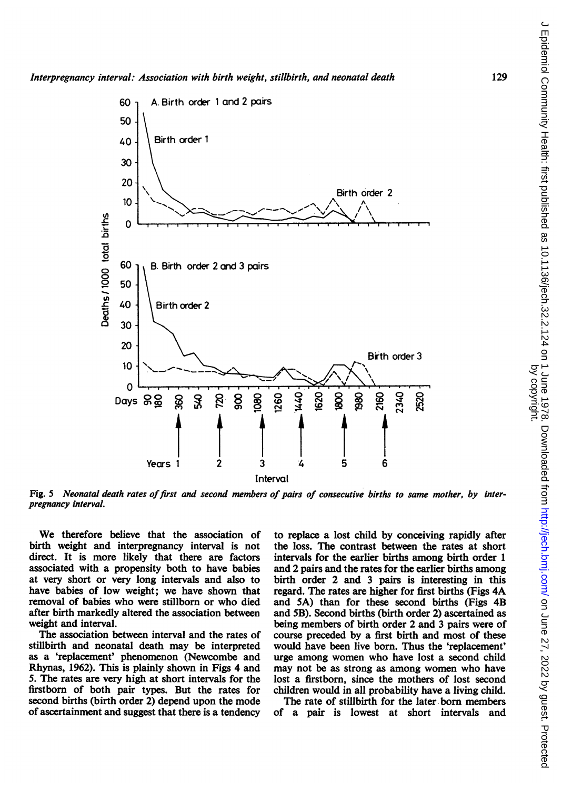

Fig. 5 Neonatal death rates of first and second members of pairs of consecutive births to same mother, by interpregnancy interval.

We therefore believe that the association of birth weight and interpregnancy interval is not direct. It is more likely that there are factors associated with a propensity both to have babies at very short or very long intervals and also to have babies of low weight; we have shown that removal of babies who were stillborn or who died after birth markedly altered the association between weight and interval.

The association between interval and the rates of stillbirth and neonatal death may be interpreted as a 'replacement' phenomenon (Newcombe and Rhynas, 1962). This is plainly shown in Figs 4 and 5. The rates are very high at short intervals for the firstborn of both pair types. But the rates for second births (birth order 2) depend upon the mode of ascertainment and suggest that there is a tendency to replace a lost child by conceiving rapidly after the loss. The contrast between the rates at short intervals for the earlier births among birth order <sup>1</sup> and 2 pairs and the rates for the earlier births among birth order 2 and 3 pairs is interesting in this regard. The rates are higher for first births (Figs 4A and 5A) than for these second births (Figs 4B and SB). Second births (birth order 2) ascertained as being members of birth order 2 and 3 pairs were of course preceded by a first birth and most of these would have been live born. Thus the 'replacement' urge among women who have lost a second child may not be as strong as among women who have lost a firstborn, since the mothers of lost second children would in all probability have a living child.

The rate of stillbirth for the later born members of a pair is lowest at short intervals and

129